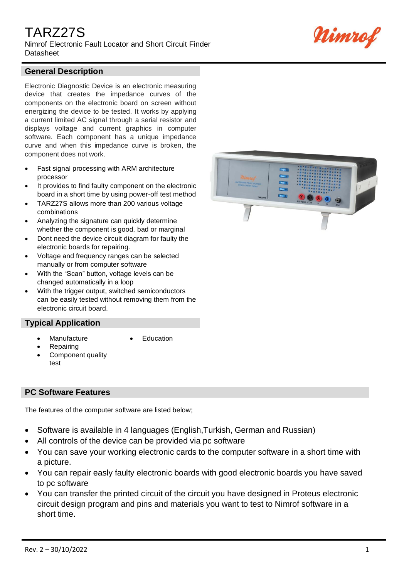# TARZ27S

Nimrof Electronic Fault Locator and Short Circuit Finder **Datasheet** 



### **General Description**

Electronic Diagnostic Device is an electronic measuring device that creates the impedance curves of the components on the electronic board on screen without energizing the device to be tested. It works by applying a current limited AC signal through a serial resistor and displays voltage and current graphics in computer software. Each component has a unique impedance curve and when this impedance curve is broken, the component does not work.

- Fast signal processing with ARM architecture processor
- It provides to find faulty component on the electronic board in a short time by using power-off test method
- TARZ27S allows more than 200 various voltage combinations
- Analyzing the signature can quickly determine whether the component is good, bad or marginal
- Dont need the device circuit diagram for faulty the electronic boards for repairing.
- Voltage and frequency ranges can be selected manually or from computer software
- With the "Scan" button, voltage levels can be changed automatically in a loop
- With the trigger output, switched semiconductors can be easily tested without removing them from the electronic circuit board.

### **Typical Application**

- **Manufacture**
- **Repairing**
- Component quality test

### **PC Software Features**

The features of the computer software are listed below;

• Software is available in 4 languages (English,Turkish, German and Russian)

**Education** 

- All controls of the device can be provided via pc software
- You can save your working electronic cards to the computer software in a short time with a picture.
- You can repair easly faulty electronic boards with good electronic boards you have saved to pc software
- You can transfer the printed circuit of the circuit you have designed in Proteus electronic circuit design program and pins and materials you want to test to Nimrof software in a short time.

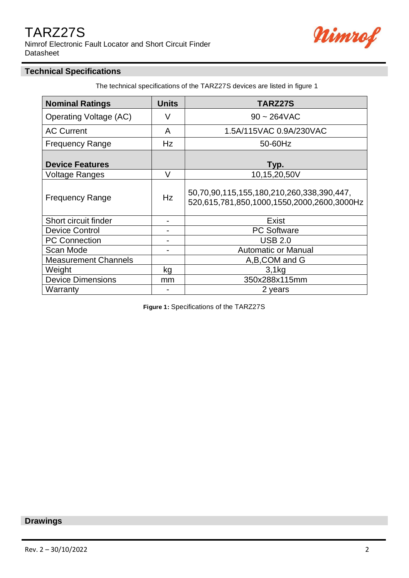## TARZ27S

Nimrof Electronic Fault Locator and Short Circuit Finder **Datasheet** 



### **Technical Specifications**

The technical specifications of the TARZ27S devices are listed in figure 1

| <b>Nominal Ratings</b>        | <b>Units</b> | <b>TARZ27S</b>                                                                          |
|-------------------------------|--------------|-----------------------------------------------------------------------------------------|
| <b>Operating Voltage (AC)</b> | V            | $90 - 264$ VAC                                                                          |
| <b>AC Current</b>             | A            | 1.5A/115VAC 0.9A/230VAC                                                                 |
| <b>Frequency Range</b>        | Hz           | 50-60Hz                                                                                 |
| <b>Device Features</b>        |              | Typ.                                                                                    |
| Voltage Ranges                | V            | 10,15,20,50V                                                                            |
| <b>Frequency Range</b>        | <b>Hz</b>    | 50,70,90,115,155,180,210,260,338,390,447,<br>520,615,781,850,1000,1550,2000,2600,3000Hz |
| Short circuit finder          | -            | Exist                                                                                   |
| <b>Device Control</b>         | -            | <b>PC Software</b>                                                                      |
| <b>PC Connection</b>          |              | <b>USB 2.0</b>                                                                          |
| Scan Mode                     |              | <b>Automatic or Manual</b>                                                              |
| <b>Measurement Channels</b>   |              | A,B,COM and G                                                                           |
| Weight                        | kg           | 3,1kg                                                                                   |
| <b>Device Dimensions</b>      | mm           | 350x288x115mm                                                                           |
| Warranty                      |              | 2 years                                                                                 |

 **Figure 1:** Specifications of the TARZ27S

### **Drawings**